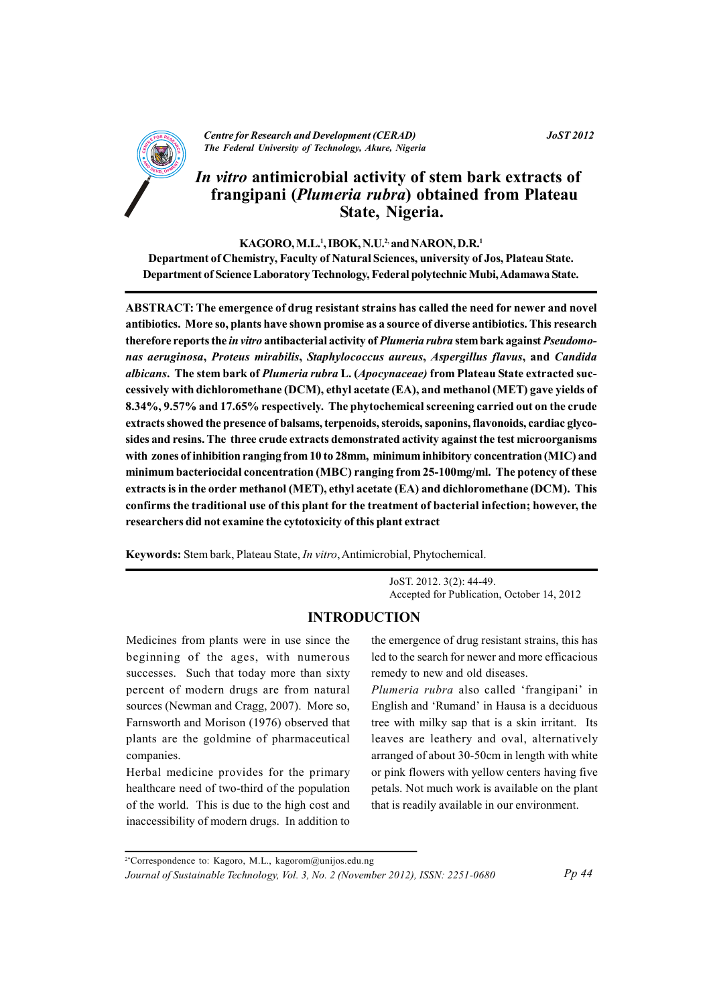

**Centre for Research and Development (CERAD)** The Federal University of Technology, Akure, Nigeria

## **JoST 2012**

# In vitro antimicrobial activity of stem bark extracts of frangipani (Plumeria rubra) obtained from Plateau State, Nigeria.

#### KAGORO, M.L.<sup>1</sup>, IBOK, N.U.<sup>2,</sup> and NARON, D.R.<sup>1</sup>

Department of Chemistry, Faculty of Natural Sciences, university of Jos, Plateau State. Department of Science Laboratory Technology, Federal polytechnic Mubi, Adamawa State.

ABSTRACT: The emergence of drug resistant strains has called the need for newer and novel antibiotics. More so, plants have shown promise as a source of diverse antibiotics. This research therefore reports the in vitro antibacterial activity of Plumeria rubra stem bark against Pseudomonas aeruginosa, Proteus mirabilis, Staphylococcus aureus, Aspergillus flavus, and Candida albicans. The stem bark of Plumeria rubra L. (Apocynaceae) from Plateau State extracted successively with dichloromethane (DCM), ethyl acetate (EA), and methanol (MET) gave yields of 8.34%, 9.57% and 17.65% respectively. The phytochemical screening carried out on the crude extracts showed the presence of balsams, terpenoids, steroids, saponins, flavonoids, cardiac glycosides and resins. The three crude extracts demonstrated activity against the test microorganisms with zones of inhibition ranging from 10 to 28mm, minimum inhibitory concentration (MIC) and minimum bacteriocidal concentration (MBC) ranging from 25-100mg/ml. The potency of these extracts is in the order methanol (MET), ethyl acetate (EA) and dichloromethane (DCM). This confirms the traditional use of this plant for the treatment of bacterial infection; however, the researchers did not examine the cytotoxicity of this plant extract

Keywords: Stem bark, Plateau State, In vitro, Antimicrobial, Phytochemical.

JoST. 2012. 3(2): 44-49. Accepted for Publication, October 14, 2012

# **INTRODUCTION**

Medicines from plants were in use since the beginning of the ages, with numerous successes. Such that today more than sixty percent of modern drugs are from natural sources (Newman and Cragg, 2007). More so, Farnsworth and Morison (1976) observed that plants are the goldmine of pharmaceutical companies.

Herbal medicine provides for the primary healthcare need of two-third of the population of the world. This is due to the high cost and inaccessibility of modern drugs. In addition to

the emergence of drug resistant strains, this has led to the search for newer and more efficacious remedy to new and old diseases.

Plumeria rubra also called 'frangipani' in English and 'Rumand' in Hausa is a deciduous tree with milky sap that is a skin irritant. Its leaves are leathery and oval, alternatively arranged of about 30-50cm in length with white or pink flowers with yellow centers having five petals. Not much work is available on the plant that is readily available in our environment.

<sup>2\*</sup>Correspondence to: Kagoro, M.L., kagorom@unijos.edu.ng

Journal of Sustainable Technology, Vol. 3, No. 2 (November 2012), ISSN: 2251-0680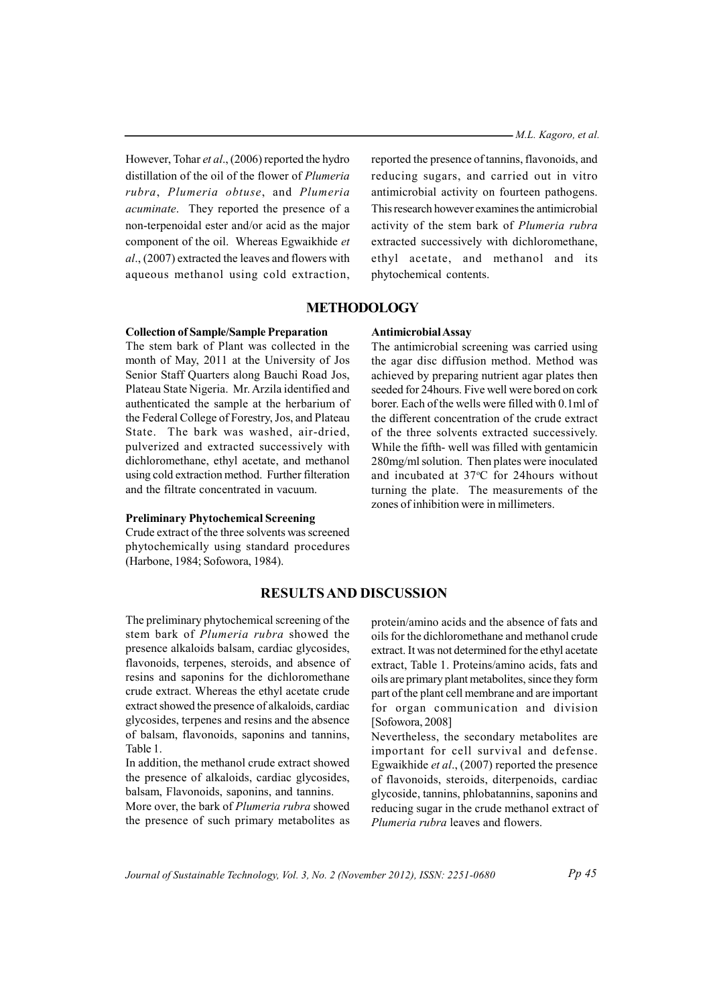- M.L. Kagoro, et al.

However, Tohar et al., (2006) reported the hydro distillation of the oil of the flower of Plumeria rubra, Plumeria obtuse, and Plumeria acuminate. They reported the presence of a non-terpenoidal ester and/or acid as the major component of the oil. Whereas Egwaikhide et al., (2007) extracted the leaves and flowers with aqueous methanol using cold extraction.

reported the presence of tannins, flavonoids, and reducing sugars, and carried out in vitro antimicrobial activity on fourteen pathogens. This research however examines the antimicrobial activity of the stem bark of Plumeria rubra extracted successively with dichloromethane, ethyl acetate, and methanol and its phytochemical contents.

# **METHODOLOGY**

## **Collection of Sample/Sample Preparation**

The stem bark of Plant was collected in the month of May, 2011 at the University of Jos Senior Staff Ouarters along Bauchi Road Jos. Plateau State Nigeria. Mr. Arzila identified and authenticated the sample at the herbarium of the Federal College of Forestry, Jos, and Plateau State. The bark was washed, air-dried, pulverized and extracted successively with dichloromethane, ethyl acetate, and methanol using cold extraction method. Further filteration and the filtrate concentrated in vacuum.

#### **Preliminary Phytochemical Screening**

Crude extract of the three solvents was screened phytochemically using standard procedures (Harbone, 1984; Sofowora, 1984).

## Antimicrobial Assay

The antimicrobial screening was carried using the agar disc diffusion method. Method was achieved by preparing nutrient agar plates then seeded for 24 hours. Five well were bored on cork borer. Each of the wells were filled with 0.1 ml of the different concentration of the crude extract of the three solvents extracted successively. While the fifth-well was filled with gentamicin 280mg/ml solution. Then plates were inoculated and incubated at 37°C for 24hours without turning the plate. The measurements of the zones of inhibition were in millimeters.

# **RESULTS AND DISCUSSION**

The preliminary phytochemical screening of the stem bark of Plumeria rubra showed the presence alkaloids balsam, cardiac glycosides, flavonoids, terpenes, steroids, and absence of resins and saponins for the dichloromethane crude extract. Whereas the ethyl acetate crude extract showed the presence of alkaloids, cardiac glycosides, terpenes and resins and the absence of balsam, flavonoids, saponins and tannins, Table 1.

In addition, the methanol crude extract showed the presence of alkaloids, cardiac glycosides, balsam, Flavonoids, saponins, and tannins.

More over, the bark of Plumeria rubra showed the presence of such primary metabolites as protein/amino acids and the absence of fats and oils for the dichloromethane and methanol crude extract. It was not determined for the ethyl acetate extract, Table 1. Proteins/amino acids, fats and oils are primary plant metabolites, since they form part of the plant cell membrane and are important for organ communication and division [Sofowora, 2008]

Nevertheless, the secondary metabolites are important for cell survival and defense. Egwaikhide *et al.*,  $(2007)$  reported the presence of flavonoids, steroids, diterpenoids, cardiac glycoside, tannins, phlobatannins, saponins and reducing sugar in the crude methanol extract of Plumeria rubra leaves and flowers

Journal of Sustainable Technology, Vol. 3, No. 2 (November 2012), ISSN: 2251-0680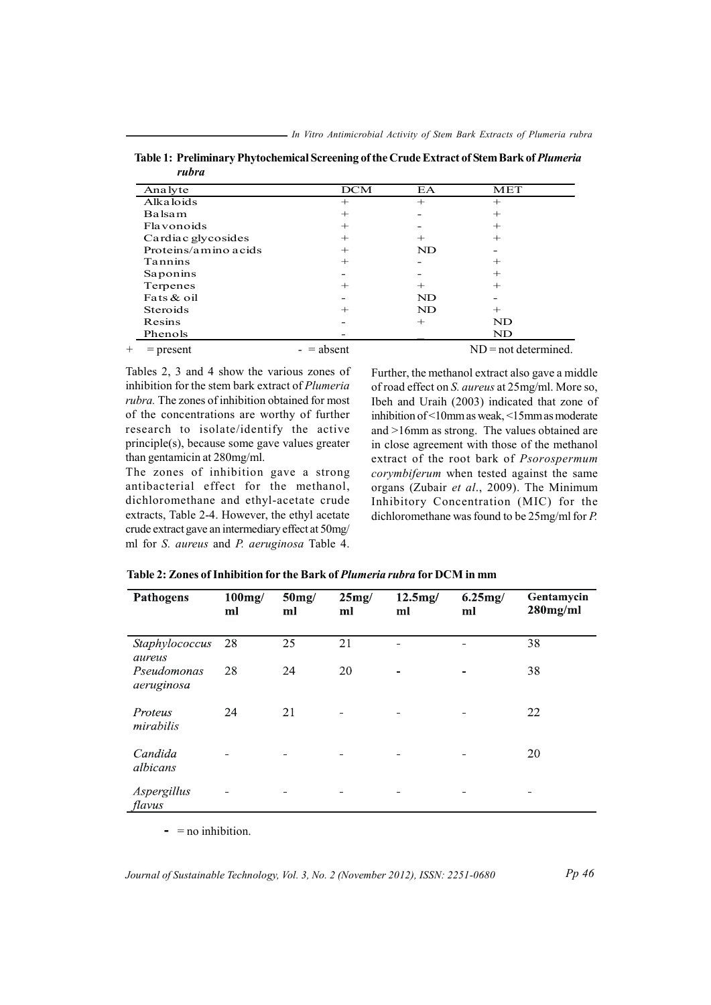- In Vitro Antimicrobial Activity of Stem Bark Extracts of Plumeria rubra

| Analyte              | <b>DCM</b> | EA     | MET                     |
|----------------------|------------|--------|-------------------------|
| <b>Alka</b> loids    | $^{+}$     | $^{+}$ | $^{+}$                  |
| Balsam               | $^{+}$     |        | $^{+}$                  |
| <b>Flavonoids</b>    | $^{+}$     |        | $^{+}$                  |
| Cardiac glycosides   | $^{+}$     | $^{+}$ | $^{+}$                  |
| Proteins/amino acids | $^{+}$     | ND     |                         |
| Tannins              | $^{+}$     |        | $^{+}$                  |
| Saponins             |            |        | $^{+}$                  |
| Terpenes             | $^+$       | $^{+}$ | $^{+}$                  |
| Fats & oil           |            | ND     |                         |
| <b>Steroids</b>      | $^+$       | ND     | $^{+}$                  |
| Resins               |            | $^{+}$ | ND                      |
| Phenols              |            |        | ND                      |
| $=$ present          | absent     |        | $ND = not determined$ . |

Table 1: Preliminary Phytochemical Screening of the Crude Extract of Stem Bark of Plumeria rubra

Tables 2, 3 and 4 show the various zones of inhibition for the stem bark extract of Plumeria rubra. The zones of inhibition obtained for most of the concentrations are worthy of further research to isolate/identify the active principle(s), because some gave values greater than gentamicin at 280mg/ml.

The zones of inhibition gave a strong antibacterial effect for the methanol, dichloromethane and ethyl-acetate crude extracts, Table 2-4. However, the ethyl acetate crude extract gave an intermediary effect at 50mg/ ml for S. aureus and P. aeruginosa Table 4. Further, the methanol extract also gave a middle of road effect on S. aureus at 25mg/ml. More so, Ibeh and Uraih (2003) indicated that zone of inhibition of <10mm as weak, <15mm as moderate and  $>16$ mm as strong. The values obtained are in close agreement with those of the methanol extract of the root bark of Psorospermum corymbiferum when tested against the same organs (Zubair et al., 2009). The Minimum Inhibitory Concentration (MIC) for the dichloromethane was found to be 25mg/ml for P.

| Pathogens                 | $100$ mg/<br>ml | 50mg/<br>ml | 25mg/<br>ml              | 12.5mg/<br>ml  | 6.25mg/<br>ml | Gentamycin<br>$280$ mg/ml |
|---------------------------|-----------------|-------------|--------------------------|----------------|---------------|---------------------------|
| Staphylococcus<br>aureus  | 28              | 25          | 21                       |                |               | 38                        |
| Pseudomonas<br>aeruginosa | 28              | 24          | 20                       | -              |               | 38                        |
| Proteus<br>mirabilis      | 24              | 21          | $\overline{\phantom{0}}$ |                |               | 22                        |
| Candida<br>albicans       |                 |             |                          |                |               | 20                        |
| Aspergillus<br>flavus     |                 |             | -                        | $\blacksquare$ |               | -                         |

Table 2: Zones of Inhibition for the Bark of Plumeria rubra for DCM in mm

 $=$  no inhibition.

Journal of Sustainable Technology, Vol. 3, No. 2 (November 2012), ISSN: 2251-0680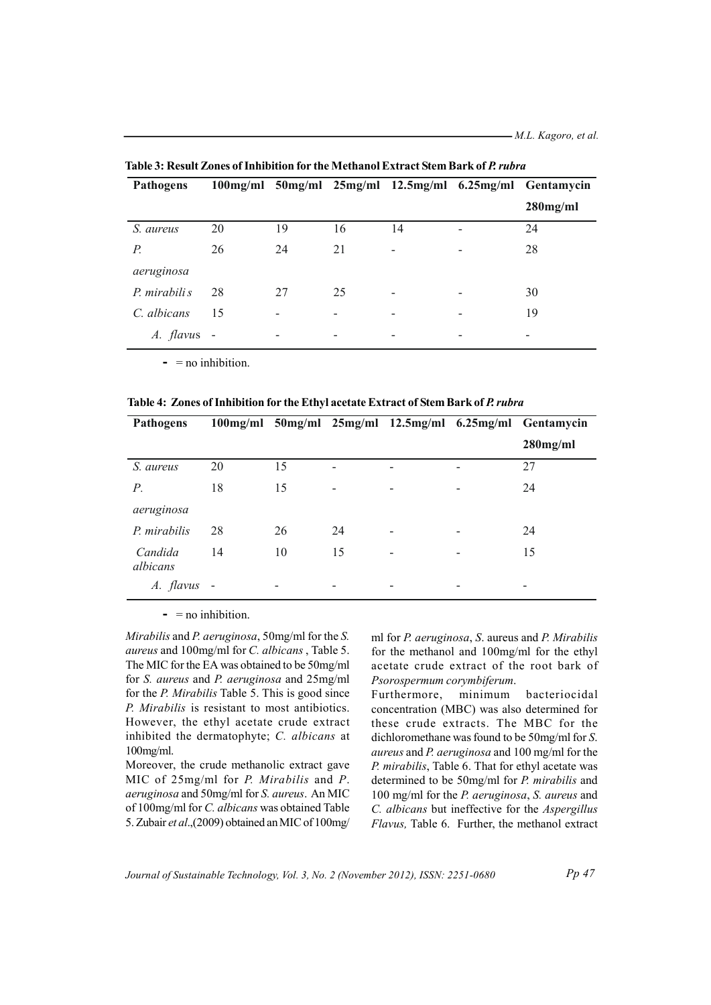| <b>Pathogens</b> |    |    |    |                              |                          | 100mg/ml 50mg/ml 25mg/ml 12.5mg/ml 6.25mg/ml Gentamycin |
|------------------|----|----|----|------------------------------|--------------------------|---------------------------------------------------------|
|                  |    |    |    |                              |                          | $280$ mg/ml                                             |
| S. aureus        | 20 | 19 | 16 | 14                           |                          | 24                                                      |
| $P_{\cdot}$      | 26 | 24 | 21 | $\qquad \qquad \blacksquare$ | $\overline{\phantom{a}}$ | 28                                                      |
| aeruginosa       |    |    |    |                              |                          |                                                         |
| P. mirabili s    | 28 | 27 | 25 | $\overline{a}$               | $\overline{\phantom{a}}$ | 30                                                      |
| C. albicans      | 15 |    |    | -                            |                          | 19                                                      |
| A. flavus        |    |    |    | $\overline{\phantom{a}}$     |                          |                                                         |

Table 3: Result Zones of Inhibition for the Methanol Extract Stem Bark of P. rubra

 $= \text{no inhibition}$ .

Table 4: Zones of Inhibition for the Ethyl acetate Extract of Stem Bark of P. rubra

| <b>Pathogens</b>    |    |    |    |   | 100mg/ml 50mg/ml 25mg/ml 12.5mg/ml 6.25mg/ml Gentamycin |
|---------------------|----|----|----|---|---------------------------------------------------------|
|                     |    |    |    |   | $280$ mg/ml                                             |
| S. aureus           | 20 | 15 |    |   | 27                                                      |
| Р.                  | 18 | 15 | -  | - | 24                                                      |
| aeruginosa          |    |    |    |   |                                                         |
| P. mirabilis        | 28 | 26 | 24 |   | 24                                                      |
| Candida<br>albicans | 14 | 10 | 15 | - | 15                                                      |
| A. flavus           |    |    | -  |   | $\overline{\phantom{0}}$                                |

 $\blacksquare$  = no inhibition.

Mirabilis and P. aeruginosa, 50mg/ml for the S. aureus and 100mg/ml for C. albicans, Table 5. The MIC for the EA was obtained to be 50mg/ml for S. aureus and P. aeruginosa and 25mg/ml for the *P. Mirabilis* Table 5. This is good since P. Mirabilis is resistant to most antibiotics. However, the ethyl acetate crude extract inhibited the dermatophyte; C. albicans at  $100$ mg/ml.

Moreover, the crude methanolic extract gave MIC of  $25mg/ml$  for *P. Mirabilis* and *P.* aeruginosa and 50mg/ml for S. aureus. An MIC of 100mg/ml for C. albicans was obtained Table 5. Zubair et al., (2009) obtained an MIC of 100mg/ ml for P. aeruginosa, S. aureus and P. Mirabilis for the methanol and 100mg/ml for the ethyl acetate crude extract of the root bark of Psorospermum corymbiferum.

Furthermore, minimum bacteriocidal concentration (MBC) was also determined for these crude extracts. The MBC for the dichloromethane was found to be 50mg/ml for S. aureus and P. aeruginosa and 100 mg/ml for the P. mirabilis, Table 6. That for ethyl acetate was determined to be 50mg/ml for P. mirabilis and 100 mg/ml for the P. aeruginosa, S. aureus and C. albicans but ineffective for the Aspergillus Flavus, Table 6. Further, the methanol extract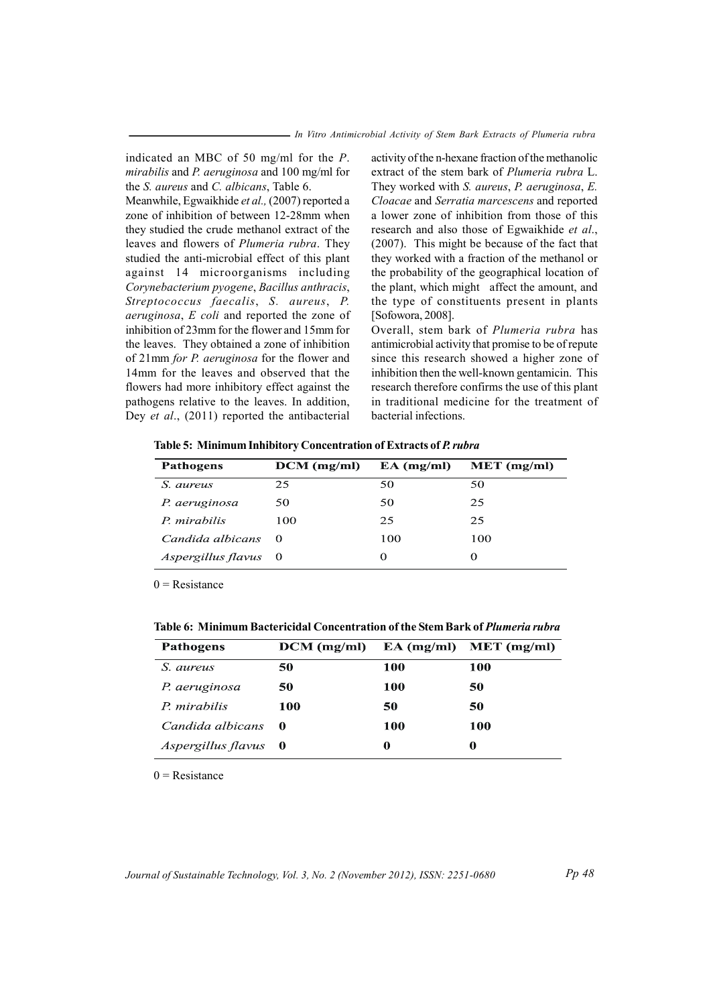indicated an MBC of 50 mg/ml for the  $P$ . *mirabilis* and *P. aeruginosa* and 100 mg/ml for the *S. aureus* and *C. albicans*, Table 6.

Meanwhile, Egwaikhide et al., (2007) reported a zone of inhibition of between 12-28 mm when they studied the crude methanol extract of the leaves and flowers of *Plumeria rubra*. They studied the anti-microbial effect of this plant against 14 microorganisms including *Coryne ab cterium pyogene*, *Baci ll us ant rh acis*,  $S$ *treptococcus faecalis, S. aureus, P. aeruginosa*, *E coli* and reported the zone of inhibition of 23mm for the flower and 15mm for the leaves. They obtained a zone of inhibition of 21mm *for P. aeruginosa* for the flower and 14mm for the leaves and observed that the flowers had more inhibitory effect against the pathogens relative to the leaves. In addition, Dey *et al.*, (2011) reported the antibacterial

activity of the n-hexane fraction of the methanolic extract of the stem bark of *Plumeria rubra* L. They worked with *S. aureus*, *P. aeruginosa*, *E. Cloacae* and *Serratia marcescens* and reported a lower zone of inhibition from those of this research and also those of Egwaikhide et al.,  $(2007)$ . This might be because of the fact that they worked with a fraction of the methanol or the probability of the geographical location of the plant, which might affect the amount, and the type of constituents present in plants [Sofowora, 2008].

Overall, stem bark of *Plumeria rubra* has antimic robial activity that promise to be of repute since this research showed a higher zone of inhibition then the well-known gentamicin. This research therefore confirms the use of this plant in traditional medicine for the treatment of bacterial infections.

Table 5: Minimum Inhibitory Concentration of Extracts of P. rubra

| <b>Pathogens</b>            | $DCM$ (mg/ml) | $EA$ (mg/ml) | $MET$ (mg/ml) |
|-----------------------------|---------------|--------------|---------------|
| S. aureus                   | 25            | 50           | 50            |
| P. aeruginosa               | 50            | 50           | 25            |
| P. mirabilis                | 100           | 25           | 25            |
| Candida albicans            | $\theta$      | 100          | 100           |
| <i>Aspergillus flavus</i> 0 |               | $\Omega$     | 0             |

 $0$  = Resistance

Table 6: Minimum Bactericidal Concentration of the Stem Bark of Plumeria rubra

| <b>Pathogens</b>     | $DCM$ (mg/ml) |            | $EA$ (mg/ml) MET (mg/ml) |
|----------------------|---------------|------------|--------------------------|
| S. aureus            | 50            | 100        | 100                      |
| P. aeruginosa        | 50            | <b>100</b> | 50                       |
| P. mirabilis         | 100           | 50         | 50                       |
| Candida albicans     | - 0           | 100        | 100                      |
| Aspergillus flavus 0 |               | 0          | 0                        |

 $0$  = Resistance